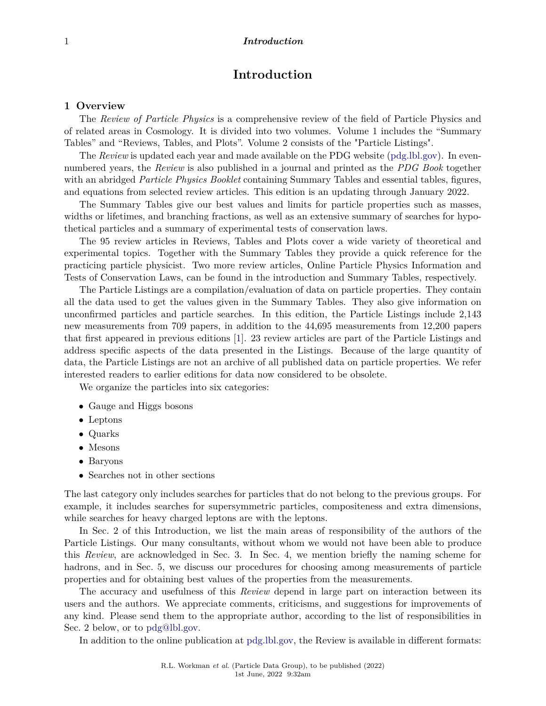# **Introduction**

#### **1 Overview**

The *Review of Particle Physics* is a comprehensive review of the field of Particle Physics and of related areas in Cosmology. It is divided into two volumes. Volume 1 includes the "Summary Tables" and "Reviews, Tables, and Plots". Volume 2 consists of the "Particle Listings".

The *Review* is updated each year and made available on the PDG website [\(pdg.lbl.gov\)](https://pdg.lbl.gov/). In evennumbered years, the *Review* is also published in a journal and printed as the *PDG Book* together with an abridged *Particle Physics Booklet* containing Summary Tables and essential tables, figures, and equations from selected review articles. This edition is an updating through January 2022.

The Summary Tables give our best values and limits for particle properties such as masses, widths or lifetimes, and branching fractions, as well as an extensive summary of searches for hypothetical particles and a summary of experimental tests of conservation laws.

The 95 review articles in Reviews, Tables and Plots cover a wide variety of theoretical and experimental topics. Together with the Summary Tables they provide a quick reference for the practicing particle physicist. Two more review articles, Online Particle Physics Information and Tests of Conservation Laws, can be found in the introduction and Summary Tables, respectively.

The Particle Listings are a compilation/evaluation of data on particle properties. They contain all the data used to get the values given in the Summary Tables. They also give information on unconfirmed particles and particle searches. In this edition, the Particle Listings include 2,143 new measurements from 709 papers, in addition to the 44,695 measurements from 12,200 papers that first appeared in previous editions [\[1\]](#page-19-0). 23 review articles are part of the Particle Listings and address specific aspects of the data presented in the Listings. Because of the large quantity of data, the Particle Listings are not an archive of all published data on particle properties. We refer interested readers to earlier editions for data now considered to be obsolete.

We organize the particles into six categories:

- Gauge and Higgs bosons
- Leptons
- Quarks
- Mesons
- Baryons
- Searches not in other sections

The last category only includes searches for particles that do not belong to the previous groups. For example, it includes searches for supersymmetric particles, compositeness and extra dimensions, while searches for heavy charged leptons are with the leptons.

In Sec. 2 of this Introduction, we list the main areas of responsibility of the authors of the Particle Listings. Our many consultants, without whom we would not have been able to produce this *Review*, are acknowledged in Sec. 3. In Sec. 4, we mention briefly the naming scheme for hadrons, and in Sec. 5, we discuss our procedures for choosing among measurements of particle properties and for obtaining best values of the properties from the measurements.

The accuracy and usefulness of this *Review* depend in large part on interaction between its users and the authors. We appreciate comments, criticisms, and suggestions for improvements of any kind. Please send them to the appropriate author, according to the list of responsibilities in Sec. 2 below, or to [pdg@lbl.gov.](mailto:pdg@lbl.gov)

In addition to the online publication at [pdg.lbl.gov,](https://pdg.lbl.gov/) the Review is available in different formats: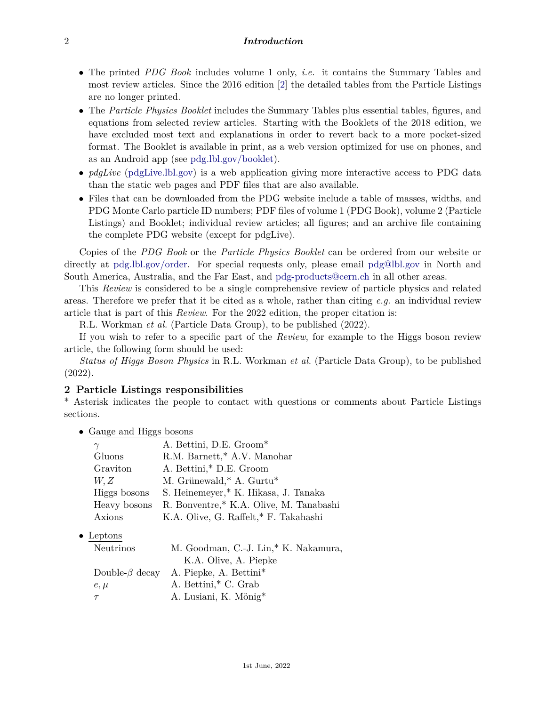- The printed *PDG Book* includes volume 1 only, *i.e.* it contains the Summary Tables and most review articles. Since the 2016 edition [\[2\]](#page-19-1) the detailed tables from the Particle Listings are no longer printed.
- The *Particle Physics Booklet* includes the Summary Tables plus essential tables, figures, and equations from selected review articles. Starting with the Booklets of the 2018 edition, we have excluded most text and explanations in order to revert back to a more pocket-sized format. The Booklet is available in print, as a web version optimized for use on phones, and as an Android app (see [pdg.lbl.gov/booklet\)](https://pdg.lbl.gov/booklet/).
- *pdgLive* [\(pdgLive.lbl.gov\)](https://pdgLive.lbl.gov/) is a web application giving more interactive access to PDG data than the static web pages and PDF files that are also available.
- Files that can be downloaded from the PDG website include a table of masses, widths, and PDG Monte Carlo particle ID numbers; PDF files of volume 1 (PDG Book), volume 2 (Particle Listings) and Booklet; individual review articles; all figures; and an archive file containing the complete PDG website (except for pdgLive).

Copies of the *PDG Book* or the *Particle Physics Booklet* can be ordered from our website or directly at [pdg.lbl.gov/order.](https://pdg.lbl.gov/order) For special requests only, please email [pdg@lbl.gov](mailto:pdg@lbl.gov) in North and South America, Australia, and the Far East, and [pdg-products@cern.ch](mailto:pdg-products@cern.ch) in all other areas.

This *Review* is considered to be a single comprehensive review of particle physics and related areas. Therefore we prefer that it be cited as a whole, rather than citing *e.g.* an individual review article that is part of this *Review*. For the 2022 edition, the proper citation is:

R.L. Workman *et al.* (Particle Data Group), to be published (2022).

If you wish to refer to a specific part of the *Review*, for example to the Higgs boson review article, the following form should be used:

*Status of Higgs Boson Physics* in R.L. Workman *et al.* (Particle Data Group), to be published (2022).

### **2 Particle Listings responsibilities**

\* Asterisk indicates the people to contact with questions or comments about Particle Listings sections.

• Gauge and Higgs bosons

| $\gamma$     | A. Bettini, D.E. Groom*                 |
|--------------|-----------------------------------------|
| Gluons       | R.M. Barnett,* A.V. Manohar             |
| Graviton     | A. Bettini,* D.E. Groom                 |
| W, Z         | M. Grünewald,* A. Gurtu*                |
| Higgs bosons | S. Heinemeyer,* K. Hikasa, J. Tanaka    |
| Heavy bosons | R. Bonventre,* K.A. Olive, M. Tanabashi |
| Axions       | K.A. Olive, G. Raffelt,* F. Takahashi   |

• Leptons

| <b>Neutrinos</b>      | M. Goodman, C.-J. Lin,* K. Nakamura, |
|-----------------------|--------------------------------------|
|                       | K.A. Olive, A. Piepke                |
| Double- $\beta$ decay | A. Piepke, A. Bettini*               |
| $e, \mu$              | A. Bettini,* C. Grab                 |
| $\tau$                | A. Lusiani, K. Mönig*                |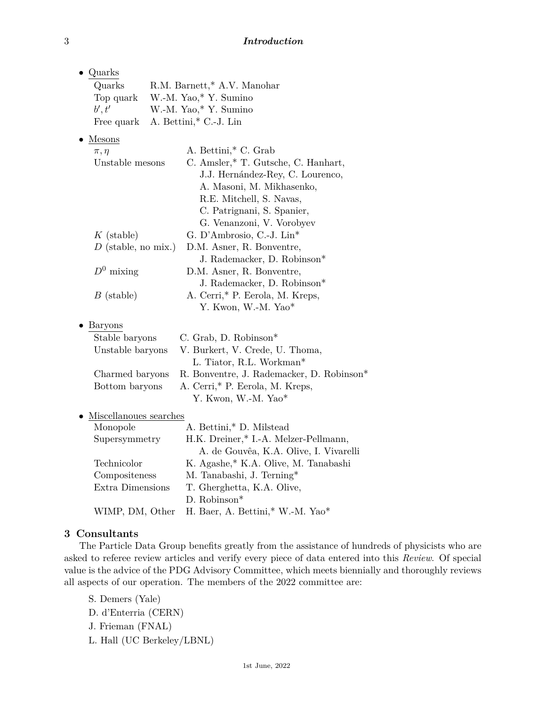| Quarks                                             |                                           |  |
|----------------------------------------------------|-------------------------------------------|--|
| Quarks<br>R.M. Barnett,* A.V. Manohar              |                                           |  |
| Top quark                                          | W.-M. Yao,* Y. Sumino                     |  |
| b', t'                                             | W.-M. Yao,* Y. Sumino                     |  |
| Free quark                                         | A. Bettini,* C.-J. Lin                    |  |
| Mesons                                             |                                           |  |
| $\pi, \eta$                                        | A. Bettini,* C. Grab                      |  |
| Unstable mesons                                    | C. Amsler,* T. Gutsche, C. Hanhart,       |  |
|                                                    | J.J. Hernández-Rey, C. Lourenco,          |  |
|                                                    | A. Masoni, M. Mikhasenko,                 |  |
|                                                    | R.E. Mitchell, S. Navas,                  |  |
|                                                    | C. Patrignani, S. Spanier,                |  |
|                                                    | G. Venanzoni, V. Vorobyev                 |  |
| $K$ (stable)                                       | G. D'Ambrosio, C.-J. Lin*                 |  |
| D.M. Asner, R. Bonventre,<br>$D$ (stable, no mix.) |                                           |  |
|                                                    | J. Rademacker, D. Robinson*               |  |
| $D^0$ mixing                                       | D.M. Asner, R. Bonventre,                 |  |
|                                                    | J. Rademacker, D. Robinson*               |  |
| $B$ (stable)                                       | A. Cerri,* P. Eerola, M. Kreps,           |  |
|                                                    | Y. Kwon, W.-M. Yao*                       |  |
| Baryons                                            |                                           |  |
| Stable baryons                                     | C. Grab, D. Robinson*                     |  |
| Unstable baryons                                   | V. Burkert, V. Crede, U. Thoma,           |  |
|                                                    | L. Tiator, R.L. Workman*                  |  |
| Charmed baryons                                    | R. Bonventre, J. Rademacker, D. Robinson* |  |
| Bottom baryons                                     | A. Cerri,* P. Eerola, M. Kreps,           |  |
|                                                    | Y. Kwon, W.-M. Yao*                       |  |
| $\bullet$ Miscellanoues searches                   |                                           |  |
| Monopole                                           | A. Bettini,* D. Milstead                  |  |
| Supersymmetry                                      | H.K. Dreiner,* I.-A. Melzer-Pellmann,     |  |
|                                                    | A. de Gouvêa, K.A. Olive, I. Vivarelli    |  |
| Technicolor                                        | K. Agashe,* K.A. Olive, M. Tanabashi      |  |
| Compositeness                                      | M. Tanabashi, J. Terning*                 |  |
| Extra Dimensions                                   | T. Gherghetta, K.A. Olive,                |  |
|                                                    | $D.$ Robinson <sup>*</sup>                |  |
| WIMP, DM, Other                                    | H. Baer, A. Bettini,* W.-M. Yao*          |  |

## **3 Consultants**

The Particle Data Group benefits greatly from the assistance of hundreds of physicists who are asked to referee review articles and verify every piece of data entered into this *Review*. Of special value is the advice of the PDG Advisory Committee, which meets biennially and thoroughly reviews all aspects of our operation. The members of the 2022 committee are:

- S. Demers (Yale)
- D. d'Enterria (CERN)
- J. Frieman (FNAL)
- L. Hall (UC Berkeley/LBNL)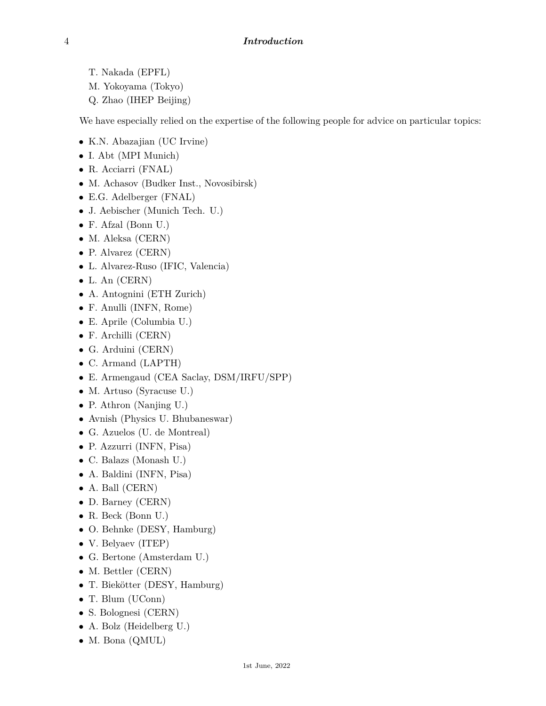- T. Nakada (EPFL)
- M. Yokoyama (Tokyo)
- Q. Zhao (IHEP Beijing)

We have especially relied on the expertise of the following people for advice on particular topics:

- K.N. Abazajian (UC Irvine)
- I. Abt (MPI Munich)
- R. Acciarri (FNAL)
- M. Achasov (Budker Inst., Novosibirsk)
- E.G. Adelberger (FNAL)
- J. Aebischer (Munich Tech. U.)
- F. Afzal (Bonn U.)
- M. Aleksa (CERN)
- P. Alvarez (CERN)
- L. Alvarez-Ruso (IFIC, Valencia)
- L. An (CERN)
- A. Antognini (ETH Zurich)
- F. Anulli (INFN, Rome)
- E. Aprile (Columbia U.)
- F. Archilli (CERN)
- G. Arduini (CERN)
- C. Armand (LAPTH)
- E. Armengaud (CEA Saclay, DSM/IRFU/SPP)
- M. Artuso (Syracuse U.)
- P. Athron (Nanjing U.)
- Avnish (Physics U. Bhubaneswar)
- G. Azuelos (U. de Montreal)
- P. Azzurri (INFN, Pisa)
- C. Balazs (Monash U.)
- A. Baldini (INFN, Pisa)
- A. Ball (CERN)
- D. Barney (CERN)
- R. Beck (Bonn U.)
- O. Behnke (DESY, Hamburg)
- V. Belyaev (ITEP)
- G. Bertone (Amsterdam U.)
- M. Bettler (CERN)
- T. Biekötter (DESY, Hamburg)
- T. Blum (UConn)
- S. Bolognesi (CERN)
- A. Bolz (Heidelberg U.)
- M. Bona (QMUL)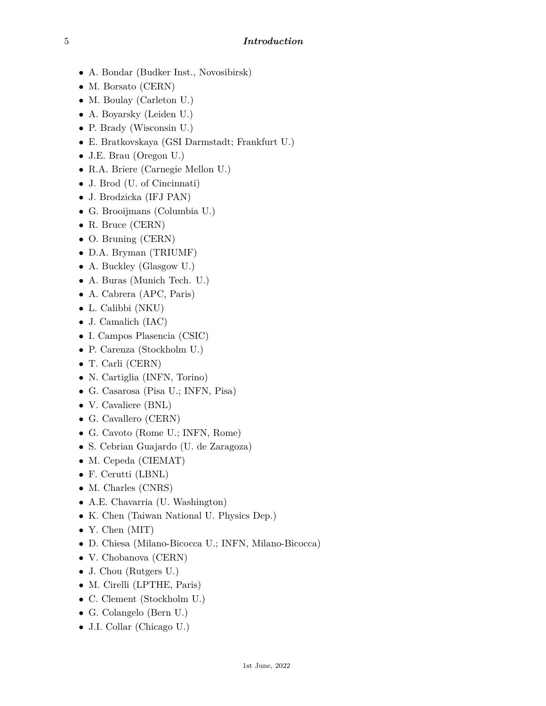- A. Bondar (Budker Inst., Novosibirsk)
- M. Borsato (CERN)
- M. Boulay (Carleton U.)
- A. Boyarsky (Leiden U.)
- P. Brady (Wisconsin U.)
- E. Bratkovskaya (GSI Darmstadt; Frankfurt U.)
- J.E. Brau (Oregon U.)
- R.A. Briere (Carnegie Mellon U.)
- J. Brod (U. of Cincinnati)
- J. Brodzicka (IFJ PAN)
- G. Brooijmans (Columbia U.)
- R. Bruce (CERN)
- O. Bruning (CERN)
- D.A. Bryman (TRIUMF)
- A. Buckley (Glasgow U.)
- A. Buras (Munich Tech. U.)
- A. Cabrera (APC, Paris)
- L. Calibbi (NKU)
- J. Camalich (IAC)
- I. Campos Plasencia (CSIC)
- P. Carenza (Stockholm U.)
- T. Carli (CERN)
- N. Cartiglia (INFN, Torino)
- G. Casarosa (Pisa U.; INFN, Pisa)
- V. Cavaliere (BNL)
- G. Cavallero (CERN)
- G. Cavoto (Rome U.; INFN, Rome)
- S. Cebrian Guajardo (U. de Zaragoza)
- M. Cepeda (CIEMAT)
- F. Cerutti (LBNL)
- M. Charles (CNRS)
- A.E. Chavarria (U. Washington)
- K. Chen (Taiwan National U. Physics Dep.)
- Y. Chen (MIT)
- D. Chiesa (Milano-Bicocca U.; INFN, Milano-Bicocca)
- V. Chobanova (CERN)
- J. Chou (Rutgers U.)
- M. Cirelli (LPTHE, Paris)
- C. Clement (Stockholm U.)
- G. Colangelo (Bern U.)
- J.I. Collar (Chicago U.)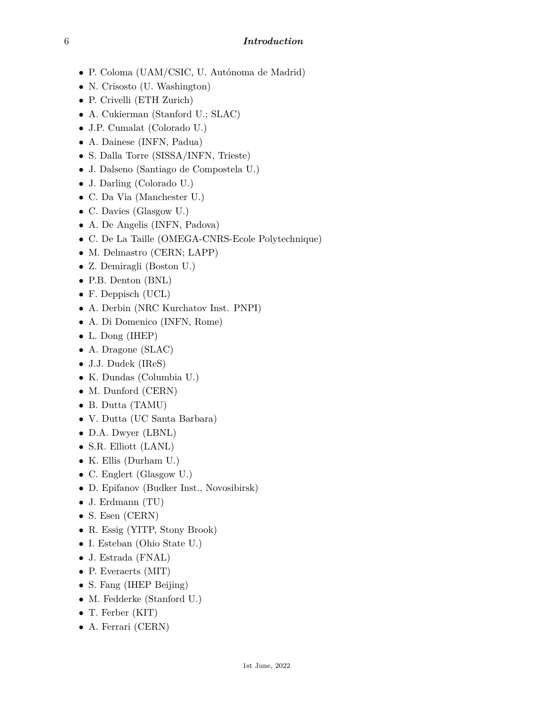- P. Coloma (UAM/CSIC, U. Autónoma de Madrid)
- N. Crisosto (U. Washington)
- P. Crivelli (ETH Zurich)
- A. Cukierman (Stanford U.; SLAC)
- J.P. Cumalat (Colorado U.)
- A. Dainese (INFN, Padua)
- S. Dalla Torre (SISSA/INFN, Trieste)
- J. Dalseno (Santiago de Compostela U.)
- J. Darling (Colorado U.)
- C. Da Via (Manchester U.)
- C. Davies (Glasgow U.)
- A. De Angelis (INFN, Padova)
- C. De La Taille (OMEGA-CNRS-Ecole Polytechnique)
- M. Delmastro (CERN; LAPP)
- Z. Demiragli (Boston U.)
- P.B. Denton (BNL)
- F. Deppisch (UCL)
- A. Derbin (NRC Kurchatov Inst. PNPI)
- A. Di Domenico (INFN, Rome)
- L. Dong (IHEP)
- A. Dragone (SLAC)
- J.J. Dudek (IReS)
- K. Dundas (Columbia U.)
- M. Dunford (CERN)
- B. Dutta (TAMU)
- V. Dutta (UC Santa Barbara)
- D.A. Dwyer (LBNL)
- S.R. Elliott (LANL)
- K. Ellis (Durham U.)
- C. Englert (Glasgow U.)
- D. Epifanov (Budker Inst., Novosibirsk)
- J. Erdmann (TU)
- S. Esen (CERN)
- R. Essig (YITP, Stony Brook)
- I. Esteban (Ohio State U.)
- J. Estrada (FNAL)
- P. Everaerts (MIT)
- S. Fang (IHEP Beijing)
- M. Fedderke (Stanford U.)
- T. Ferber (KIT)
- A. Ferrari (CERN)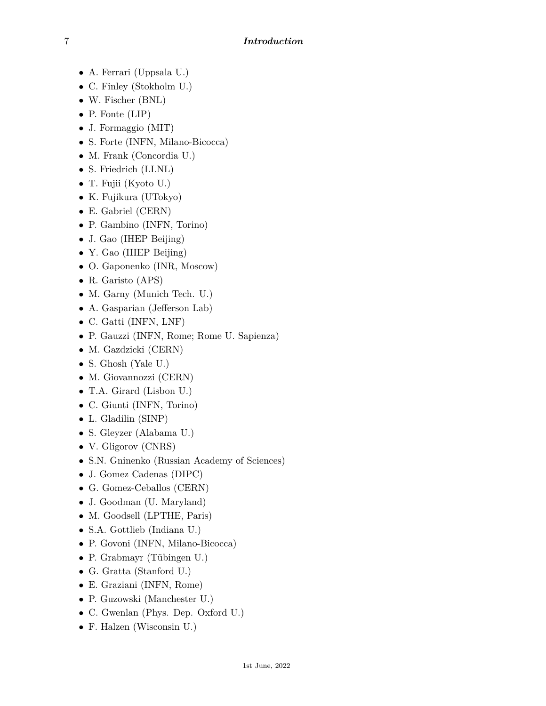- A. Ferrari (Uppsala U.)
- C. Finley (Stokholm U.)
- W. Fischer (BNL)
- P. Fonte (LIP)
- J. Formaggio (MIT)
- S. Forte (INFN, Milano-Bicocca)
- M. Frank (Concordia U.)
- S. Friedrich (LLNL)
- T. Fujii (Kyoto U.)
- K. Fujikura (UTokyo)
- E. Gabriel (CERN)
- P. Gambino (INFN, Torino)
- J. Gao (IHEP Beijing)
- Y. Gao (IHEP Beijing)
- O. Gaponenko (INR, Moscow)
- R. Garisto (APS)
- M. Garny (Munich Tech. U.)
- A. Gasparian (Jefferson Lab)
- C. Gatti (INFN, LNF)
- P. Gauzzi (INFN, Rome; Rome U. Sapienza)
- M. Gazdzicki (CERN)
- S. Ghosh (Yale U.)
- M. Giovannozzi (CERN)
- T.A. Girard (Lisbon U.)
- C. Giunti (INFN, Torino)
- L. Gladilin (SINP)
- S. Gleyzer (Alabama U.)
- V. Gligorov (CNRS)
- S.N. Gninenko (Russian Academy of Sciences)
- J. Gomez Cadenas (DIPC)
- G. Gomez-Ceballos (CERN)
- J. Goodman (U. Maryland)
- M. Goodsell (LPTHE, Paris)
- S.A. Gottlieb (Indiana U.)
- P. Govoni (INFN, Milano-Bicocca)
- P. Grabmayr (Tübingen U.)
- G. Gratta (Stanford U.)
- E. Graziani (INFN, Rome)
- P. Guzowski (Manchester U.)
- C. Gwenlan (Phys. Dep. Oxford U.)
- F. Halzen (Wisconsin U.)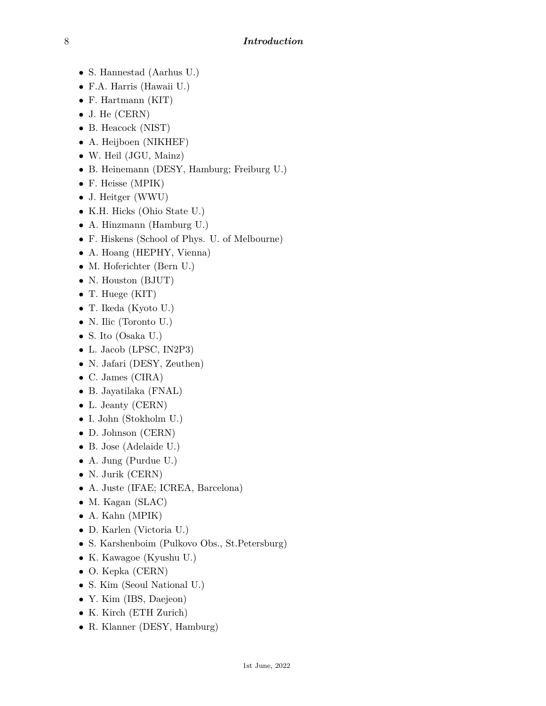- S. Hannestad (Aarhus U.)
- F.A. Harris (Hawaii U.)
- F. Hartmann (KIT)
- J. He (CERN)
- B. Heacock (NIST)
- A. Heijboen (NIKHEF)
- W. Heil (JGU, Mainz)
- B. Heinemann (DESY, Hamburg; Freiburg U.)
- F. Heisse (MPIK)
- J. Heitger (WWU)
- K.H. Hicks (Ohio State U.)
- A. Hinzmann (Hamburg U.)
- F. Hiskens (School of Phys. U. of Melbourne)
- A. Hoang (HEPHY, Vienna)
- M. Hoferichter (Bern U.)
- N. Houston (BJUT)
- T. Huege (KIT)
- T. Ikeda (Kyoto U.)
- N. Ilic (Toronto U.)
- S. Ito (Osaka U.)
- L. Jacob (LPSC, IN2P3)
- N. Jafari (DESY, Zeuthen)
- C. James (CIRA)
- B. Jayatilaka (FNAL)
- L. Jeanty (CERN)
- I. John (Stokholm U.)
- D. Johnson (CERN)
- B. Jose (Adelaide U.)
- A. Jung (Purdue U.)
- N. Jurik (CERN)
- A. Juste (IFAE; ICREA, Barcelona)
- M. Kagan (SLAC)
- A. Kahn (MPIK)
- D. Karlen (Victoria U.)
- S. Karshenboim (Pulkovo Obs., St.Petersburg)
- K. Kawagoe (Kyushu U.)
- O. Kepka (CERN)
- S. Kim (Seoul National U.)
- Y. Kim (IBS, Daejeon)
- K. Kirch (ETH Zurich)
- R. Klanner (DESY, Hamburg)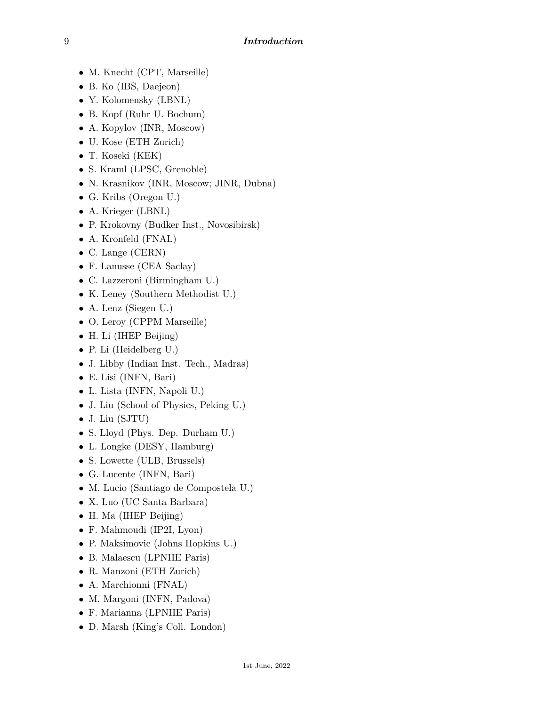- M. Knecht (CPT, Marseille)
- B. Ko (IBS, Daejeon)
- Y. Kolomensky (LBNL)
- B. Kopf (Ruhr U. Bochum)
- A. Kopylov (INR, Moscow)
- U. Kose (ETH Zurich)
- T. Koseki (KEK)
- S. Kraml (LPSC, Grenoble)
- N. Krasnikov (INR, Moscow; JINR, Dubna)
- G. Kribs (Oregon U.)
- A. Krieger (LBNL)
- P. Krokovny (Budker Inst., Novosibirsk)
- A. Kronfeld (FNAL)
- C. Lange (CERN)
- F. Lanusse (CEA Saclay)
- C. Lazzeroni (Birmingham U.)
- K. Leney (Southern Methodist U.)
- A. Lenz (Siegen U.)
- O. Leroy (CPPM Marseille)
- H. Li (IHEP Beijing)
- P. Li (Heidelberg U.)
- J. Libby (Indian Inst. Tech., Madras)
- E. Lisi (INFN, Bari)
- L. Lista (INFN, Napoli U.)
- J. Liu (School of Physics, Peking U.)
- J. Liu (SJTU)
- S. Lloyd (Phys. Dep. Durham U.)
- L. Longke (DESY, Hamburg)
- S. Lowette (ULB, Brussels)
- G. Lucente (INFN, Bari)
- M. Lucio (Santiago de Compostela U.)
- X. Luo (UC Santa Barbara)
- H. Ma (IHEP Beijing)
- F. Mahmoudi (IP2I, Lyon)
- P. Maksimovic (Johns Hopkins U.)
- B. Malaescu (LPNHE Paris)
- R. Manzoni (ETH Zurich)
- A. Marchionni (FNAL)
- M. Margoni (INFN, Padova)
- F. Marianna (LPNHE Paris)
- D. Marsh (King's Coll. London)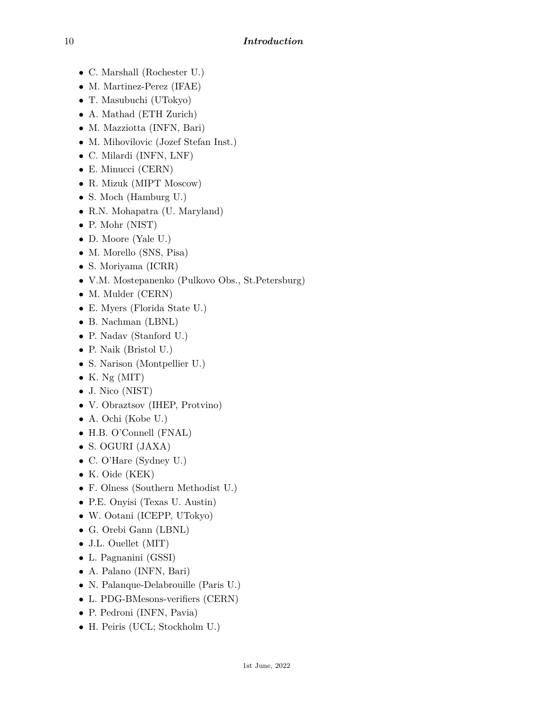- C. Marshall (Rochester U.)
- M. Martinez-Perez (IFAE)
- T. Masubuchi (UTokyo)
- A. Mathad (ETH Zurich)
- M. Mazziotta (INFN, Bari)
- M. Mihovilovic (Jozef Stefan Inst.)
- C. Milardi (INFN, LNF)
- E. Minucci (CERN)
- R. Mizuk (MIPT Moscow)
- S. Moch (Hamburg U.)
- R.N. Mohapatra (U. Maryland)
- P. Mohr (NIST)
- D. Moore (Yale U.)
- M. Morello (SNS, Pisa)
- S. Moriyama (ICRR)
- V.M. Mostepanenko (Pulkovo Obs., St.Petersburg)
- M. Mulder (CERN)
- E. Myers (Florida State U.)
- B. Nachman (LBNL)
- P. Nadav (Stanford U.)
- P. Naik (Bristol U.)
- S. Narison (Montpellier U.)
- K. Ng  $(MIT)$
- J. Nico (NIST)
- V. Obraztsov (IHEP, Protvino)
- A. Ochi (Kobe U.)
- H.B. O'Connell (FNAL)
- S. OGURI (JAXA)
- C. O'Hare (Sydney U.)
- K. Oide (KEK)
- F. Olness (Southern Methodist U.)
- P.E. Onyisi (Texas U. Austin)
- W. Ootani (ICEPP, UTokyo)
- G. Orebi Gann (LBNL)
- J.L. Ouellet (MIT)
- L. Pagnanini (GSSI)
- A. Palano (INFN, Bari)
- N. Palanque-Delabrouille (Paris U.)
- L. PDG-BMesons-verifiers (CERN)
- P. Pedroni (INFN, Pavia)
- H. Peiris (UCL; Stockholm U.)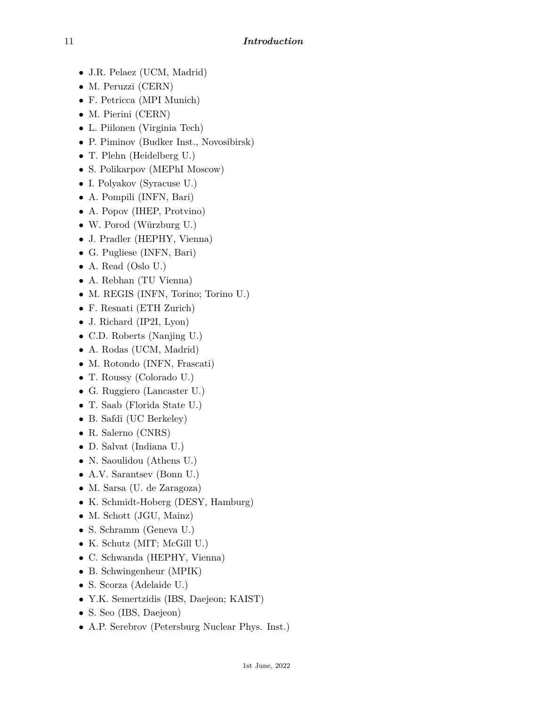- J.R. Pelaez (UCM, Madrid)
- M. Peruzzi (CERN)
- F. Petricca (MPI Munich)
- M. Pierini (CERN)
- L. Piilonen (Virginia Tech)
- P. Piminov (Budker Inst., Novosibirsk)
- T. Plehn (Heidelberg U.)
- S. Polikarpov (MEPhI Moscow)
- I. Polyakov (Syracuse U.)
- A. Pompili (INFN, Bari)
- A. Popov (IHEP, Protvino)
- W. Porod (Würzburg U.)
- J. Pradler (HEPHY, Vienna)
- G. Pugliese (INFN, Bari)
- A. Read (Oslo U.)
- A. Rebhan (TU Vienna)
- M. REGIS (INFN, Torino; Torino U.)
- F. Resnati (ETH Zurich)
- J. Richard (IP2I, Lyon)
- C.D. Roberts (Nanjing U.)
- A. Rodas (UCM, Madrid)
- M. Rotondo (INFN, Frascati)
- T. Roussy (Colorado U.)
- G. Ruggiero (Lancaster U.)
- T. Saab (Florida State U.)
- B. Safdi (UC Berkeley)
- R. Salerno (CNRS)
- D. Salvat (Indiana U.)
- N. Saoulidou (Athens U.)
- A.V. Sarantsev (Bonn U.)
- M. Sarsa (U. de Zaragoza)
- K. Schmidt-Hoberg (DESY, Hamburg)
- M. Schott (JGU, Mainz)
- S. Schramm (Geneva U.)
- K. Schutz (MIT; McGill U.)
- C. Schwanda (HEPHY, Vienna)
- B. Schwingenheur (MPIK)
- S. Scorza (Adelaide U.)
- Y.K. Semertzidis (IBS, Daejeon; KAIST)
- S. Seo (IBS, Daejeon)
- A.P. Serebrov (Petersburg Nuclear Phys. Inst.)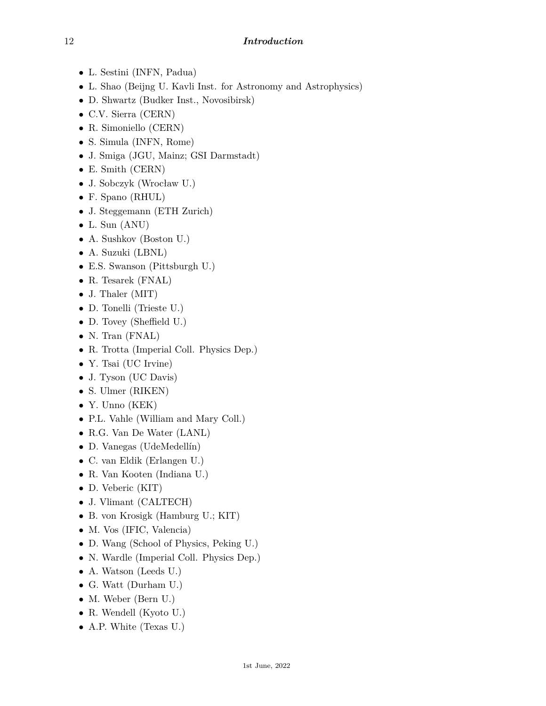- L. Sestini (INFN, Padua)
- L. Shao (Beijng U. Kavli Inst. for Astronomy and Astrophysics)
- D. Shwartz (Budker Inst., Novosibirsk)
- C.V. Sierra (CERN)
- R. Simoniello (CERN)
- S. Simula (INFN, Rome)
- J. Smiga (JGU, Mainz; GSI Darmstadt)
- E. Smith (CERN)
- J. Sobczyk (Wrocław U.)
- F. Spano (RHUL)
- J. Steggemann (ETH Zurich)
- L. Sun (ANU)
- A. Sushkov (Boston U.)
- A. Suzuki (LBNL)
- E.S. Swanson (Pittsburgh U.)
- R. Tesarek (FNAL)
- J. Thaler (MIT)
- D. Tonelli (Trieste U.)
- D. Tovey (Sheffield U.)
- N. Tran (FNAL)
- R. Trotta (Imperial Coll. Physics Dep.)
- Y. Tsai (UC Irvine)
- J. Tyson (UC Davis)
- S. Ulmer (RIKEN)
- Y. Unno (KEK)
- P.L. Vahle (William and Mary Coll.)
- R.G. Van De Water (LANL)
- D. Vanegas (UdeMedellín)
- C. van Eldik (Erlangen U.)
- R. Van Kooten (Indiana U.)
- D. Veberic (KIT)
- J. Vlimant (CALTECH)
- B. von Krosigk (Hamburg U.; KIT)
- M. Vos (IFIC, Valencia)
- D. Wang (School of Physics, Peking U.)
- N. Wardle (Imperial Coll. Physics Dep.)
- A. Watson (Leeds U.)
- G. Watt (Durham U.)
- M. Weber (Bern U.)
- R. Wendell (Kyoto U.)
- A.P. White (Texas U.)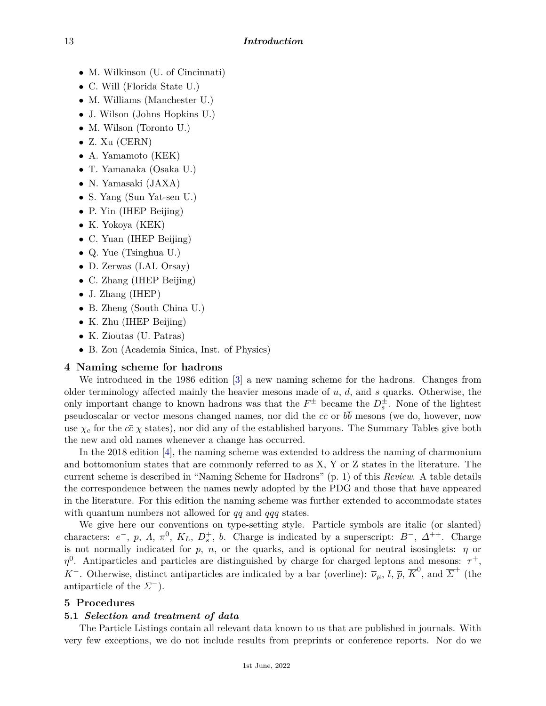- M. Wilkinson (U. of Cincinnati)
- C. Will (Florida State U.)
- M. Williams (Manchester U.)
- J. Wilson (Johns Hopkins U.)
- M. Wilson (Toronto U.)
- Z. Xu (CERN)
- A. Yamamoto (KEK)
- T. Yamanaka (Osaka U.)
- N. Yamasaki (JAXA)
- S. Yang (Sun Yat-sen U.)
- P. Yin (IHEP Beijing)
- K. Yokoya (KEK)
- C. Yuan (IHEP Beijing)
- Q. Yue (Tsinghua U.)
- D. Zerwas (LAL Orsay)
- C. Zhang (IHEP Beijing)
- J. Zhang (IHEP)
- B. Zheng (South China U.)
- K. Zhu (IHEP Beijing)
- K. Zioutas (U. Patras)
- B. Zou (Academia Sinica, Inst. of Physics)

## **4 Naming scheme for hadrons**

We introduced in the 1986 edition [\[3\]](#page-19-2) a new naming scheme for the hadrons. Changes from older terminology affected mainly the heavier mesons made of *u, d,* and *s* quarks. Otherwise, the only important change to known hadrons was that the  $F^{\pm}$  became the  $D_s^{\pm}$ . None of the lightest pseudoscalar or vector mesons changed names, nor did the  $c\bar{c}$  or  $b\bar{b}$  mesons (we do, however, now use  $\chi_c$  for the  $c\bar{c}$   $\chi$  states), nor did any of the established baryons. The Summary Tables give both the new and old names whenever a change has occurred.

In the 2018 edition [\[4\]](#page-19-3), the naming scheme was extended to address the naming of charmonium and bottomonium states that are commonly referred to as X, Y or Z states in the literature. The current scheme is described in "Naming Scheme for Hadrons" (p. 1) of this *Review*. A table details the correspondence between the names newly adopted by the PDG and those that have appeared in the literature. For this edition the naming scheme was further extended to accommodate states with quantum numbers not allowed for  $q\bar{q}$  and  $qqq$  states.

We give here our conventions on type-setting style. Particle symbols are italic (or slanted) characters:  $e^-$ , *p*, *Λ*,  $\pi^0$ ,  $K_L$ ,  $D_s^+$ , *b*. Charge is indicated by a superscript:  $B^-$ ,  $\Delta^{++}$ . Charge is not normally indicated for *p*, *n*, or the quarks, and is optional for neutral isosinglets: *η* or *η*<sup>0</sup>. Antiparticles and particles are distinguished by charge for charged leptons and mesons:  $τ<sup>+</sup>$ , *K*<sup>-</sup>. Otherwise, distinct antiparticles are indicated by a bar (overline):  $\bar{\nu}_{\mu}$ ,  $\bar{t}$ ,  $\bar{p}$ ,  $\bar{K}^0$ , and  $\bar{\Sigma}^+$  (the antiparticle of the  $\Sigma^-$ ).

## **5 Procedures**

## **5.1** *Selection and treatment of data*

The Particle Listings contain all relevant data known to us that are published in journals. With very few exceptions, we do not include results from preprints or conference reports. Nor do we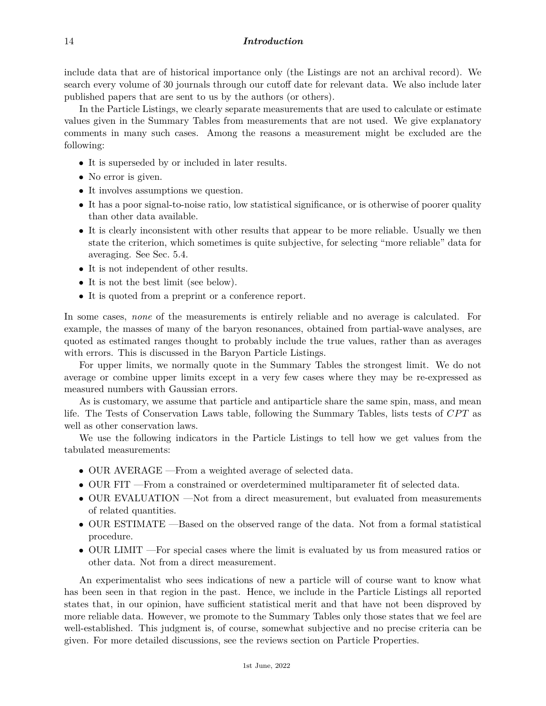include data that are of historical importance only (the Listings are not an archival record). We search every volume of 30 journals through our cutoff date for relevant data. We also include later published papers that are sent to us by the authors (or others).

In the Particle Listings, we clearly separate measurements that are used to calculate or estimate values given in the Summary Tables from measurements that are not used. We give explanatory comments in many such cases. Among the reasons a measurement might be excluded are the following:

- It is superseded by or included in later results.
- No error is given.
- It involves assumptions we question.
- It has a poor signal-to-noise ratio, low statistical significance, or is otherwise of poorer quality than other data available.
- It is clearly inconsistent with other results that appear to be more reliable. Usually we then state the criterion, which sometimes is quite subjective, for selecting "more reliable" data for averaging. See Sec. 5.4.
- It is not independent of other results.
- It is not the best limit (see below).
- It is quoted from a preprint or a conference report.

In some cases, *none* of the measurements is entirely reliable and no average is calculated. For example, the masses of many of the baryon resonances, obtained from partial-wave analyses, are quoted as estimated ranges thought to probably include the true values, rather than as averages with errors. This is discussed in the Baryon Particle Listings.

For upper limits, we normally quote in the Summary Tables the strongest limit. We do not average or combine upper limits except in a very few cases where they may be re-expressed as measured numbers with Gaussian errors.

As is customary, we assume that particle and antiparticle share the same spin, mass, and mean life. The Tests of Conservation Laws table, following the Summary Tables, lists tests of CPT as well as other conservation laws.

We use the following indicators in the Particle Listings to tell how we get values from the tabulated measurements:

- OUR AVERAGE —From a weighted average of selected data.
- OUR FIT —From a constrained or overdetermined multiparameter fit of selected data.
- OUR EVALUATION —Not from a direct measurement, but evaluated from measurements of related quantities.
- OUR ESTIMATE —Based on the observed range of the data. Not from a formal statistical procedure.
- OUR LIMIT —For special cases where the limit is evaluated by us from measured ratios or other data. Not from a direct measurement.

An experimentalist who sees indications of new a particle will of course want to know what has been seen in that region in the past. Hence, we include in the Particle Listings all reported states that, in our opinion, have sufficient statistical merit and that have not been disproved by more reliable data. However, we promote to the Summary Tables only those states that we feel are well-established. This judgment is, of course, somewhat subjective and no precise criteria can be given. For more detailed discussions, see the reviews section on Particle Properties.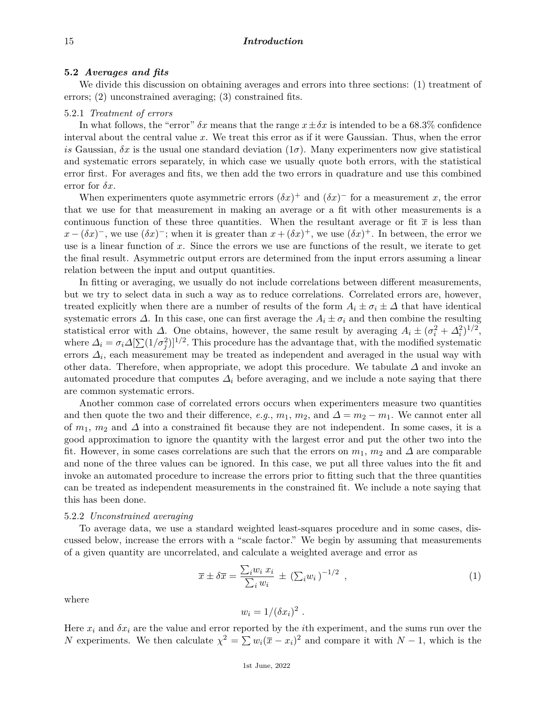#### **5.2** *Averages and fits*

We divide this discussion on obtaining averages and errors into three sections: (1) treatment of errors; (2) unconstrained averaging; (3) constrained fits.

#### 5.2.1 *Treatment of errors*

In what follows, the "error"  $\delta x$  means that the range  $x \pm \delta x$  is intended to be a 68.3% confidence interval about the central value *x*. We treat this error as if it were Gaussian. Thus, when the error *is* Gaussian,  $\delta x$  is the usual one standard deviation  $(1\sigma)$ . Many experimenters now give statistical and systematic errors separately, in which case we usually quote both errors, with the statistical error first. For averages and fits, we then add the two errors in quadrature and use this combined error for *δx*.

When experimenters quote asymmetric errors  $(\delta x)^+$  and  $(\delta x)^-$  for a measurement *x*, the error that we use for that measurement in making an average or a fit with other measurements is a continuous function of these three quantities. When the resultant average or fit  $\bar{x}$  is less than  $x - (\delta x)^{-}$ , we use  $(\delta x)^{-}$ ; when it is greater than  $x + (\delta x)^{+}$ , we use  $(\delta x)^{+}$ . In between, the error we use is a linear function of *x*. Since the errors we use are functions of the result, we iterate to get the final result. Asymmetric output errors are determined from the input errors assuming a linear relation between the input and output quantities.

In fitting or averaging, we usually do not include correlations between different measurements, but we try to select data in such a way as to reduce correlations. Correlated errors are, however, treated explicitly when there are a number of results of the form  $A_i \pm \sigma_i \pm \Delta$  that have identical systematic errors  $\Delta$ . In this case, one can first average the  $A_i \pm \sigma_i$  and then combine the resulting statistical error with *∆*. One obtains, however, the same result by averaging  $A_i \pm (\sigma_i^2 + \Delta_i^2)^{1/2}$ , where  $\Delta_i = \sigma_i \Delta [\sum (1/\sigma_j^2)]^{1/2}$ . This procedure has the advantage that, with the modified systematic errors  $\Delta_i$ , each measurement may be treated as independent and averaged in the usual way with other data. Therefore, when appropriate, we adopt this procedure. We tabulate *∆* and invoke an automated procedure that computes  $\Delta_i$  before averaging, and we include a note saying that there are common systematic errors.

Another common case of correlated errors occurs when experimenters measure two quantities and then quote the two and their difference, *e.g.*,  $m_1$ ,  $m_2$ , and  $\Delta = m_2 - m_1$ . We cannot enter all of  $m_1$ ,  $m_2$  and  $\Delta$  into a constrained fit because they are not independent. In some cases, it is a good approximation to ignore the quantity with the largest error and put the other two into the fit. However, in some cases correlations are such that the errors on  $m_1$ ,  $m_2$  and  $\Delta$  are comparable and none of the three values can be ignored. In this case, we put all three values into the fit and invoke an automated procedure to increase the errors prior to fitting such that the three quantities can be treated as independent measurements in the constrained fit. We include a note saying that this has been done.

#### 5.2.2 *Unconstrained averaging*

To average data, we use a standard weighted least-squares procedure and in some cases, discussed below, increase the errors with a "scale factor." We begin by assuming that measurements of a given quantity are uncorrelated, and calculate a weighted average and error as

$$
\overline{x} \pm \delta \overline{x} = \frac{\sum_{i} w_i x_i}{\sum_{i} w_i} \pm (\sum_{i} w_i)^{-1/2} , \qquad (1)
$$

where

$$
w_i = 1/(\delta x_i)^2.
$$

Here  $x_i$  and  $\delta x_i$  are the value and error reported by the *i*<sup>th</sup> experiment, and the sums run over the *N* experiments. We then calculate  $\chi^2 = \sum w_i (\bar{x} - x_i)^2$  and compare it with  $N - 1$ , which is the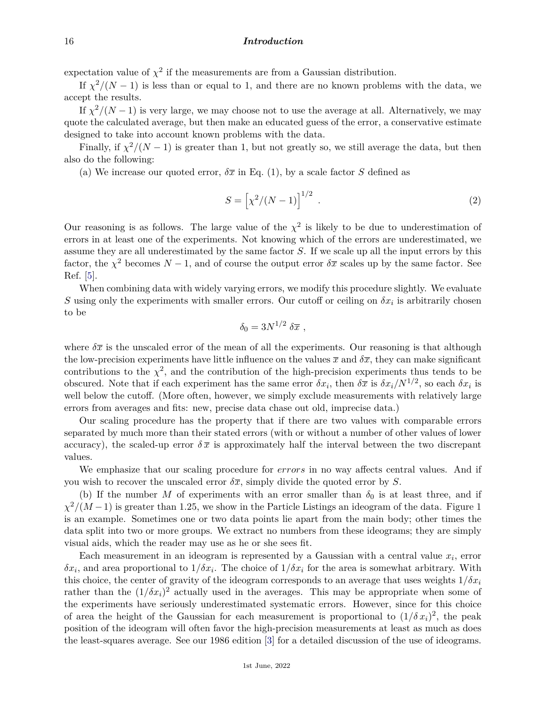expectation value of  $\chi^2$  if the measurements are from a Gaussian distribution.

If  $\chi^2/(N-1)$  is less than or equal to 1, and there are no known problems with the data, we accept the results.

If  $\chi^2/(N-1)$  is very large, we may choose not to use the average at all. Alternatively, we may quote the calculated average, but then make an educated guess of the error, a conservative estimate designed to take into account known problems with the data.

Finally, if  $\chi^2/(N-1)$  is greater than 1, but not greatly so, we still average the data, but then also do the following:

(a) We increase our quoted error,  $\delta \bar{x}$  in Eq. (1), by a scale factor *S* defined as

$$
S = \left[\chi^2/(N-1)\right]^{1/2} \tag{2}
$$

Our reasoning is as follows. The large value of the  $\chi^2$  is likely to be due to underestimation of errors in at least one of the experiments. Not knowing which of the errors are underestimated, we assume they are all underestimated by the same factor *S*. If we scale up all the input errors by this factor, the  $\chi^2$  becomes  $N-1$ , and of course the output error  $\delta \bar{x}$  scales up by the same factor. See Ref. [\[5\]](#page-19-4).

When combining data with widely varying errors, we modify this procedure slightly. We evaluate *S* using only the experiments with smaller errors. Our cutoff or ceiling on  $\delta x_i$  is arbitrarily chosen to be

$$
\delta_0 = 3N^{1/2} \delta \overline{x} ,
$$

where  $\delta \bar{x}$  is the unscaled error of the mean of all the experiments. Our reasoning is that although the low-precision experiments have little influence on the values  $\bar{x}$  and  $\delta \bar{x}$ , they can make significant contributions to the  $\chi^2$ , and the contribution of the high-precision experiments thus tends to be obscured. Note that if each experiment has the same error  $\delta x_i$ , then  $\delta \bar{x}$  is  $\delta x_i/N^{1/2}$ , so each  $\delta x_i$  is well below the cutoff. (More often, however, we simply exclude measurements with relatively large errors from averages and fits: new, precise data chase out old, imprecise data.)

Our scaling procedure has the property that if there are two values with comparable errors separated by much more than their stated errors (with or without a number of other values of lower accuracy), the scaled-up error  $\delta \bar{x}$  is approximately half the interval between the two discrepant values.

We emphasize that our scaling procedure for *errors* in no way affects central values. And if you wish to recover the unscaled error  $\delta \bar{x}$ , simply divide the quoted error by *S*.

(b) If the number *M* of experiments with an error smaller than  $\delta_0$  is at least three, and if  $\chi^2/(M-1)$  is greater than 1.25, we show in the Particle Listings an ideogram of the data. Figure 1 is an example. Sometimes one or two data points lie apart from the main body; other times the data split into two or more groups. We extract no numbers from these ideograms; they are simply visual aids, which the reader may use as he or she sees fit.

Each measurement in an ideogram is represented by a Gaussian with a central value  $x_i$ , error  $\delta x_i$ , and area proportional to  $1/\delta x_i$ . The choice of  $1/\delta x_i$  for the area is somewhat arbitrary. With this choice, the center of gravity of the ideogram corresponds to an average that uses weights  $1/\delta x_i$ rather than the  $(1/\delta x_i)^2$  actually used in the averages. This may be appropriate when some of the experiments have seriously underestimated systematic errors. However, since for this choice of area the height of the Gaussian for each measurement is proportional to  $(1/\delta x_i)^2$ , the peak position of the ideogram will often favor the high-precision measurements at least as much as does the least-squares average. See our 1986 edition [\[3\]](#page-19-2) for a detailed discussion of the use of ideograms.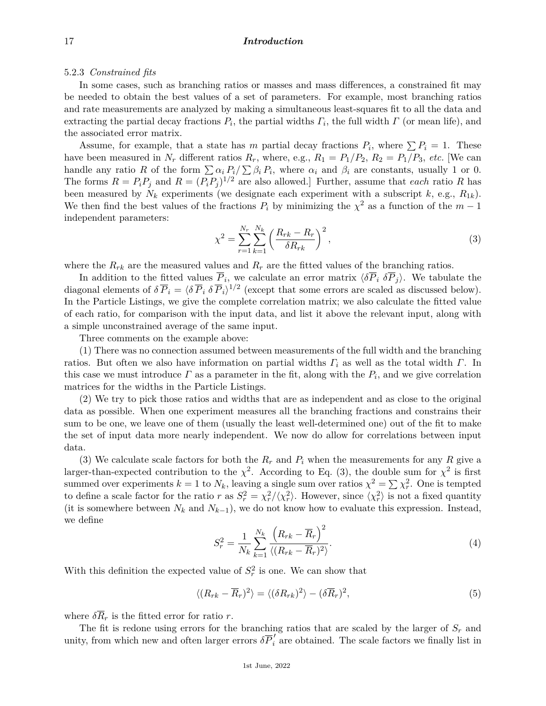#### 5.2.3 *Constrained fits*

In some cases, such as branching ratios or masses and mass differences, a constrained fit may be needed to obtain the best values of a set of parameters. For example, most branching ratios and rate measurements are analyzed by making a simultaneous least-squares fit to all the data and extracting the partial decay fractions  $P_i$ , the partial widths  $\Gamma_i$ , the full width  $\Gamma$  (or mean life), and the associated error matrix.

Assume, for example, that a state has *m* partial decay fractions  $P_i$ , where  $\sum P_i = 1$ . These have been measured in  $N_r$  different ratios  $R_r$ , where, e.g.,  $R_1 = P_1/P_2$ ,  $R_2 = P_1/P_3$ , *etc.* [We can handle any ratio *R* of the form  $\sum \alpha_i P_i / \sum \beta_i P_i$ , where  $\alpha_i$  and  $\beta_i$  are constants, usually 1 or 0. The forms  $R = P_i P_j$  and  $R = (P_i P_j)^{1/2}$  are also allowed.] Further, assume that *each* ratio R has been measured by  $N_k$  experiments (we designate each experiment with a subscript  $k$ , e.g.,  $R_{1k}$ ). We then find the best values of the fractions  $P_i$  by minimizing the  $\chi^2$  as a function of the  $m-1$ independent parameters:

$$
\chi^2 = \sum_{r=1}^{N_r} \sum_{k=1}^{N_k} \left( \frac{R_{rk} - R_r}{\delta R_{rk}} \right)^2,
$$
\n(3)

where the  $R_{rk}$  are the measured values and  $R_r$  are the fitted values of the branching ratios.

In addition to the fitted values  $\overline{P}_i$ , we calculate an error matrix  $\langle \delta \overline{P}_i \ \delta \overline{P}_j \rangle$ . We tabulate the diagonal elements of  $\delta \overline{P}_i = \langle \delta \overline{P}_i \delta \overline{P}_i \rangle^{1/2}$  (except that some errors are scaled as discussed below). In the Particle Listings, we give the complete correlation matrix; we also calculate the fitted value of each ratio, for comparison with the input data, and list it above the relevant input, along with a simple unconstrained average of the same input.

Three comments on the example above:

(1) There was no connection assumed between measurements of the full width and the branching ratios. But often we also have information on partial widths *Γ<sup>i</sup>* as well as the total width *Γ*. In this case we must introduce  $\Gamma$  as a parameter in the fit, along with the  $P_i$ , and we give correlation matrices for the widths in the Particle Listings.

(2) We try to pick those ratios and widths that are as independent and as close to the original data as possible. When one experiment measures all the branching fractions and constrains their sum to be one, we leave one of them (usually the least well-determined one) out of the fit to make the set of input data more nearly independent. We now do allow for correlations between input data.

(3) We calculate scale factors for both the  $R_r$  and  $P_i$  when the measurements for any  $R$  give a larger-than-expected contribution to the  $\chi^2$ . According to Eq. (3), the double sum for  $\chi^2$  is first summed over experiments  $k = 1$  to  $N_k$ , leaving a single sum over ratios  $\chi^2 = \sum \chi^2_r$ . One is tempted to define a scale factor for the ratio *r* as  $S_r^2 = \chi_r^2/\langle \chi_r^2 \rangle$ . However, since  $\langle \chi_r^2 \rangle$  is not a fixed quantity (it is somewhere between  $N_k$  and  $N_{k-1}$ ), we do not know how to evaluate this expression. Instead, we define

$$
S_r^2 = \frac{1}{N_k} \sum_{k=1}^{N_k} \frac{\left(R_{rk} - \overline{R}_r\right)^2}{\langle (R_{rk} - \overline{R}_r)^2 \rangle}.
$$
\n
$$
\tag{4}
$$

With this definition the expected value of  $S_r^2$  is one. We can show that

$$
\langle (R_{rk} - \overline{R}_r)^2 \rangle = \langle (\delta R_{rk})^2 \rangle - (\delta \overline{R}_r)^2, \tag{5}
$$

where  $\delta \overline{R}_r$  is the fitted error for ratio *r*.

The fit is redone using errors for the branching ratios that are scaled by the larger of *S<sup>r</sup>* and unity, from which new and often larger errors  $\delta \overline{P}'_i$  are obtained. The scale factors we finally list in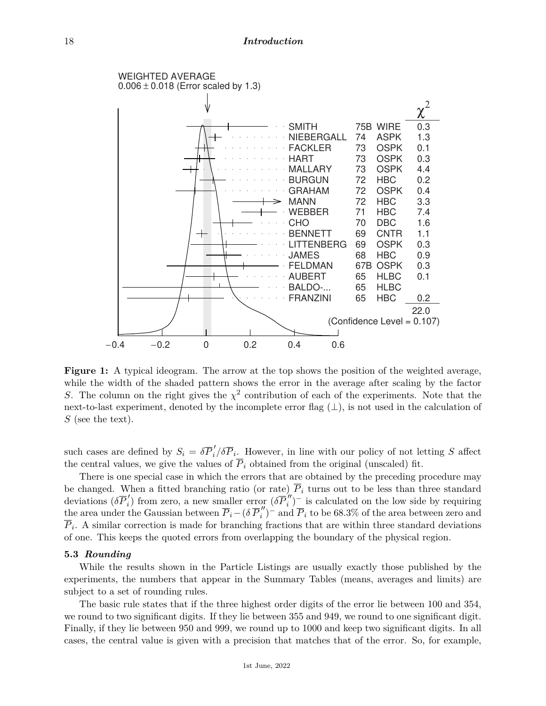

**Figure 1:** A typical ideogram. The arrow at the top shows the position of the weighted average, while the width of the shaded pattern shows the error in the average after scaling by the factor *S*. The column on the right gives the  $\chi^2$  contribution of each of the experiments. Note that the next-to-last experiment, denoted by the incomplete error flag  $(\perp)$ , is not used in the calculation of *S* (see the text).

such cases are defined by  $S_i = \delta \overline{P}'_i / \delta \overline{P}_i$ . However, in line with our policy of not letting *S* affect the central values, we give the values of  $\overline{P}_i$  obtained from the original (unscaled) fit.

There is one special case in which the errors that are obtained by the preceding procedure may be changed. When a fitted branching ratio (or rate)  $P_i$  turns out to be less than three standard deviations  $(\delta \overline{P}_{i}^{\prime})$  $\sum_{i=1}^{N}$  from zero, a new smaller error  $(\delta \overline{P}_{i}^{"})$  $\binom{n}{i}$  is calculated on the low side by requiring the area under the Gaussian between  $\overline{P}_i - (\delta \overline{P}_i'')$  $\binom{n}{i}$ <sup>-</sup> and  $\overline{P}_i$  to be 68.3% of the area between zero and  $\overline{P}_i$ . A similar correction is made for branching fractions that are within three standard deviations of one. This keeps the quoted errors from overlapping the boundary of the physical region.

#### **5.3** *Rounding*

While the results shown in the Particle Listings are usually exactly those published by the experiments, the numbers that appear in the Summary Tables (means, averages and limits) are subject to a set of rounding rules.

The basic rule states that if the three highest order digits of the error lie between 100 and 354, we round to two significant digits. If they lie between 355 and 949, we round to one significant digit. Finally, if they lie between 950 and 999, we round up to 1000 and keep two significant digits. In all cases, the central value is given with a precision that matches that of the error. So, for example,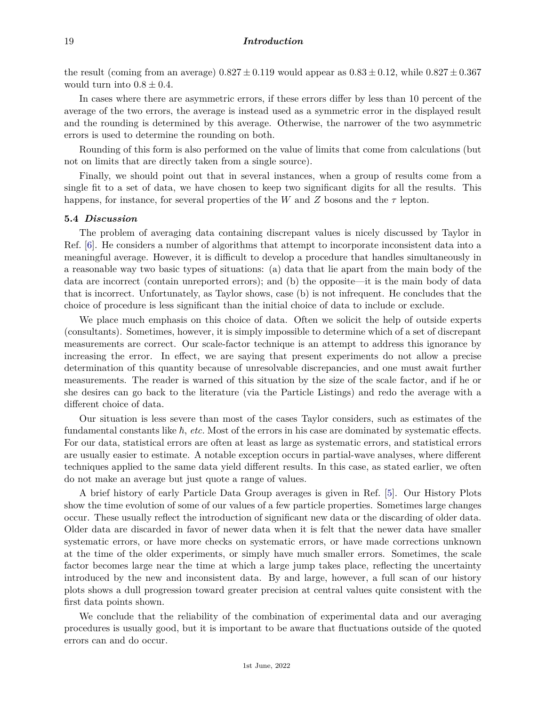the result (coming from an average)  $0.827 \pm 0.119$  would appear as  $0.83 \pm 0.12$ , while  $0.827 \pm 0.367$ would turn into  $0.8 \pm 0.4$ .

In cases where there are asymmetric errors, if these errors differ by less than 10 percent of the average of the two errors, the average is instead used as a symmetric error in the displayed result and the rounding is determined by this average. Otherwise, the narrower of the two asymmetric errors is used to determine the rounding on both.

Rounding of this form is also performed on the value of limits that come from calculations (but not on limits that are directly taken from a single source).

Finally, we should point out that in several instances, when a group of results come from a single fit to a set of data, we have chosen to keep two significant digits for all the results. This happens, for instance, for several properties of the *W* and *Z* bosons and the  $\tau$  lepton.

#### **5.4** *Discussion*

The problem of averaging data containing discrepant values is nicely discussed by Taylor in Ref. [\[6\]](#page-19-5). He considers a number of algorithms that attempt to incorporate inconsistent data into a meaningful average. However, it is difficult to develop a procedure that handles simultaneously in a reasonable way two basic types of situations: (a) data that lie apart from the main body of the data are incorrect (contain unreported errors); and (b) the opposite—it is the main body of data that is incorrect. Unfortunately, as Taylor shows, case (b) is not infrequent. He concludes that the choice of procedure is less significant than the initial choice of data to include or exclude.

We place much emphasis on this choice of data. Often we solicit the help of outside experts (consultants). Sometimes, however, it is simply impossible to determine which of a set of discrepant measurements are correct. Our scale-factor technique is an attempt to address this ignorance by increasing the error. In effect, we are saying that present experiments do not allow a precise determination of this quantity because of unresolvable discrepancies, and one must await further measurements. The reader is warned of this situation by the size of the scale factor, and if he or she desires can go back to the literature (via the Particle Listings) and redo the average with a different choice of data.

Our situation is less severe than most of the cases Taylor considers, such as estimates of the fundamental constants like  $\hbar$ , *etc.* Most of the errors in his case are dominated by systematic effects. For our data, statistical errors are often at least as large as systematic errors, and statistical errors are usually easier to estimate. A notable exception occurs in partial-wave analyses, where different techniques applied to the same data yield different results. In this case, as stated earlier, we often do not make an average but just quote a range of values.

A brief history of early Particle Data Group averages is given in Ref. [\[5\]](#page-19-4). Our History Plots show the time evolution of some of our values of a few particle properties. Sometimes large changes occur. These usually reflect the introduction of significant new data or the discarding of older data. Older data are discarded in favor of newer data when it is felt that the newer data have smaller systematic errors, or have more checks on systematic errors, or have made corrections unknown at the time of the older experiments, or simply have much smaller errors. Sometimes, the scale factor becomes large near the time at which a large jump takes place, reflecting the uncertainty introduced by the new and inconsistent data. By and large, however, a full scan of our history plots shows a dull progression toward greater precision at central values quite consistent with the first data points shown.

We conclude that the reliability of the combination of experimental data and our averaging procedures is usually good, but it is important to be aware that fluctuations outside of the quoted errors can and do occur.